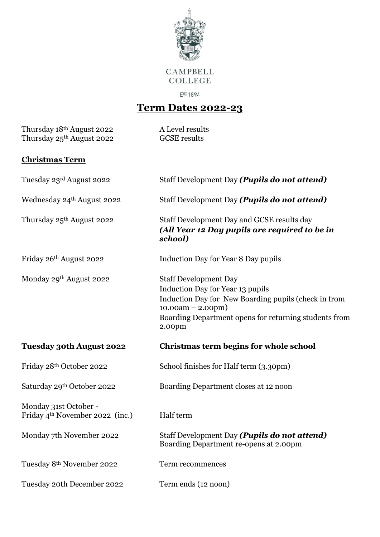

**CAMPBELL COLLEGE** 

Est 1894

## **Term Dates 2022-23**

Thursday 18<sup>th</sup> August 2022 A Level results Thursday 25<sup>th</sup> August 2022 GCSE results

## **Christmas Term**

| Tuesday 23rd August 2022                                             | Staff Development Day (Pupils do not attend)                                                                                                                                                                       |
|----------------------------------------------------------------------|--------------------------------------------------------------------------------------------------------------------------------------------------------------------------------------------------------------------|
| Wednesday 24th August 2022                                           | Staff Development Day (Pupils do not attend)                                                                                                                                                                       |
| Thursday 25 <sup>th</sup> August 2022                                | Staff Development Day and GCSE results day<br>(All Year 12 Day pupils are required to be in<br>school)                                                                                                             |
| Friday 26th August 2022                                              | <b>Induction Day for Year 8 Day pupils</b>                                                                                                                                                                         |
| Monday 29th August 2022                                              | <b>Staff Development Day</b><br>Induction Day for Year 13 pupils<br>Induction Day for New Boarding pupils (check in from<br>$10.00am - 2.00pm)$<br>Boarding Department opens for returning students from<br>2.00pm |
| <b>Tuesday 30th August 2022</b>                                      | Christmas term begins for whole school                                                                                                                                                                             |
|                                                                      |                                                                                                                                                                                                                    |
| Friday 28th October 2022                                             | School finishes for Half term (3.30pm)                                                                                                                                                                             |
| Saturday 29th October 2022                                           | Boarding Department closes at 12 noon                                                                                                                                                                              |
| Monday 31st October -<br>Friday 4 <sup>th</sup> November 2022 (inc.) | Half term                                                                                                                                                                                                          |
| Monday 7th November 2022                                             | Staff Development Day (Pupils do not attend)<br>Boarding Department re-opens at 2.00pm                                                                                                                             |
| Tuesday 8th November 2022                                            | Term recommences                                                                                                                                                                                                   |